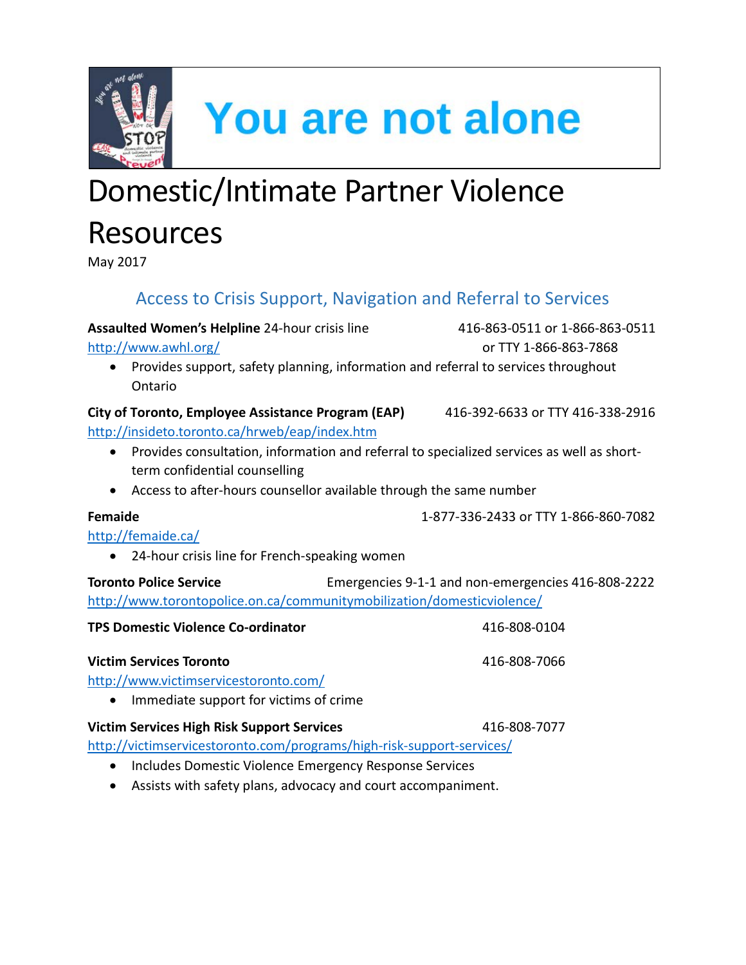

**You are not alone** 

# Domestic/Intimate Partner Violence **Resources**

May 2017

## Access to Crisis Support, Navigation and Referral to Services

**Assaulted Women's Helpline** 24-hour crisis line 416-863-0511 or 1-866-863-0511

<http://www.awhl.org/>or TTY 1-866-863-7868

• Provides support, safety planning, information and referral to services throughout Ontario

### **City of Toronto, Employee Assistance Program (EAP)** 416-392-6633 or TTY 416-338-2916

<http://insideto.toronto.ca/hrweb/eap/index.htm>

- Provides consultation, information and referral to specialized services as well as shortterm confidential counselling
- Access to after-hours counsellor available through the same number

**Femaide** 1-877-336-2433 or TTY 1-866-860-7082

### <http://femaide.ca/>

• 24-hour crisis line for French-speaking women

**Toronto Police Service Emergencies 9-1-1 and non-emergencies 416-808-2222** <http://www.torontopolice.on.ca/communitymobilization/domesticviolence/>

| <b>TPS Domestic Violence Co-ordinator</b>                               | 416-808-0104 |
|-------------------------------------------------------------------------|--------------|
| <b>Victim Services Toronto</b><br>http://www.victimservicestoronto.com/ | 416-808-7066 |
| Immediate support for victims of crime<br>$\bullet$                     |              |

### **Victim Services High Risk Support Services** 416-808-7077

<http://victimservicestoronto.com/programs/high-risk-support-services/>

- Includes Domestic Violence Emergency Response Services
- Assists with safety plans, advocacy and court accompaniment.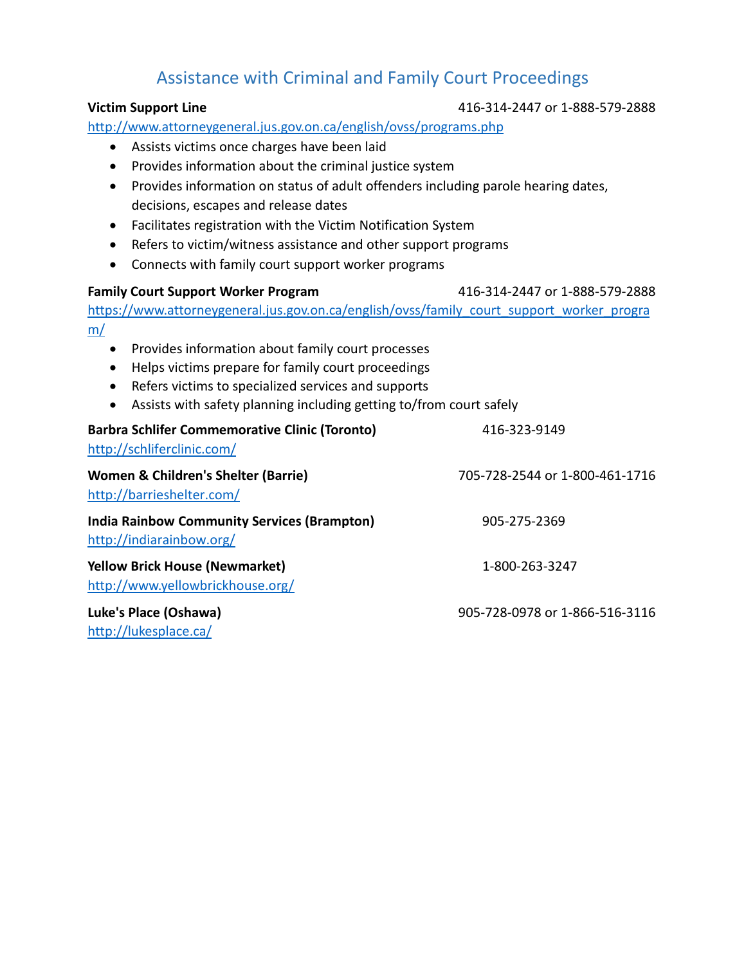## Assistance with Criminal and Family Court Proceedings

#### **Victim Support Line** 416-314-2447 or 1-888-579-2888

<http://www.attorneygeneral.jus.gov.on.ca/english/ovss/programs.php>

- Assists victims once charges have been laid
- Provides information about the criminal justice system
- Provides information on status of adult offenders including parole hearing dates, decisions, escapes and release dates
- Facilitates registration with the Victim Notification System
- Refers to victim/witness assistance and other support programs
- Connects with family court support worker programs

#### **Family Court Support Worker Program** 416-314-2447 or 1-888-579-2888

[https://www.attorneygeneral.jus.gov.on.ca/english/ovss/family\\_court\\_support\\_worker\\_progra](https://www.attorneygeneral.jus.gov.on.ca/english/ovss/family_court_support_worker_program/) [m/](https://www.attorneygeneral.jus.gov.on.ca/english/ovss/family_court_support_worker_program/)

- Provides information about family court processes
- Helps victims prepare for family court proceedings
- Refers victims to specialized services and supports
- Assists with safety planning including getting to/from court safely

| <b>Barbra Schlifer Commemorative Clinic (Toronto)</b><br>http://schliferclinic.com/ | 416-323-9149                   |
|-------------------------------------------------------------------------------------|--------------------------------|
| Women & Children's Shelter (Barrie)<br>http://barrieshelter.com/                    | 705-728-2544 or 1-800-461-1716 |
| <b>India Rainbow Community Services (Brampton)</b><br>http://indiarainbow.org/      | 905-275-2369                   |
| <b>Yellow Brick House (Newmarket)</b><br>http://www.yellowbrickhouse.org/           | 1-800-263-3247                 |
| Luke's Place (Oshawa)<br>$<a href="http://l1/l1</a>$                                | 905-728-0978 or 1-866-516-3116 |

<http://lukesplace.ca/>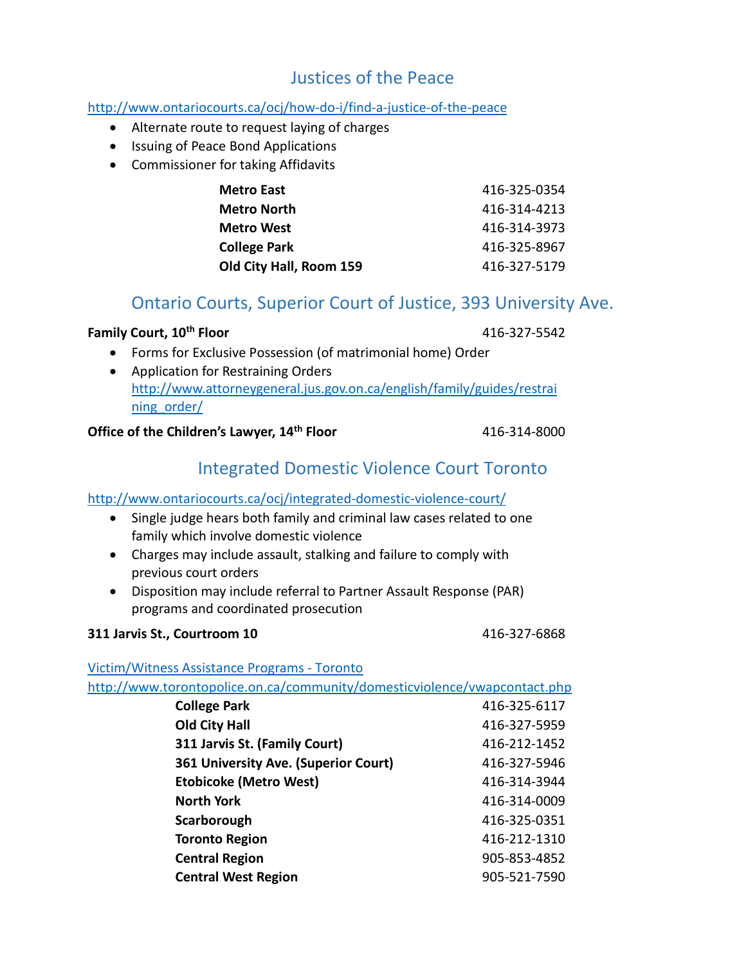## Justices of the Peace

#### <http://www.ontariocourts.ca/ocj/how-do-i/find-a-justice-of-the-peace>

- Alternate route to request laying of charges
- Issuing of Peace Bond Applications
- Commissioner for taking Affidavits

| Metro East              | 416-325-0354 |
|-------------------------|--------------|
| <b>Metro North</b>      | 416-314-4213 |
| <b>Metro West</b>       | 416-314-3973 |
| <b>College Park</b>     | 416-325-8967 |
| Old City Hall, Room 159 | 416-327-5179 |

## Ontario Courts, Superior Court of Justice, 393 University Ave.

#### **Family Court, 10<sup>th</sup> Floor 10th Floor 116-327-5542**

- Forms for Exclusive Possession (of matrimonial home) Order
- Application for Restraining Orders [http://www.attorneygeneral.jus.gov.on.ca/english/family/guides/restrai](http://www.attorneygeneral.jus.gov.on.ca/english/family/guides/restraining_order/) [ning\\_order/](http://www.attorneygeneral.jus.gov.on.ca/english/family/guides/restraining_order/)

#### **Office of the Children's Lawyer, 14<sup>th</sup> Floor** 416-314-8000

## Integrated Domestic Violence Court Toronto

#### <http://www.ontariocourts.ca/ocj/integrated-domestic-violence-court/>

- Single judge hears both family and criminal law cases related to one family which involve domestic violence
- Charges may include assault, stalking and failure to comply with previous court orders
- Disposition may include referral to Partner Assault Response (PAR) programs and coordinated prosecution

#### **311 Jarvis St., Courtroom 10** 416-327-6868

[Victim/Witness Assistance Programs -](http://www.torontopolice.on.ca/community/domesticviolence/vwapcontact.php) Toronto

http://www.torontopolice.on.ca/community/domesticviolence/vwapcontact.php

| <b>College Park</b>                  | 416-325-6117 |
|--------------------------------------|--------------|
| <b>Old City Hall</b>                 | 416-327-5959 |
| 311 Jarvis St. (Family Court)        | 416-212-1452 |
| 361 University Ave. (Superior Court) | 416-327-5946 |
| <b>Etobicoke (Metro West)</b>        | 416-314-3944 |
| <b>North York</b>                    | 416-314-0009 |
| Scarborough                          | 416-325-0351 |
| <b>Toronto Region</b>                | 416-212-1310 |
| <b>Central Region</b>                | 905-853-4852 |
| <b>Central West Region</b>           | 905-521-7590 |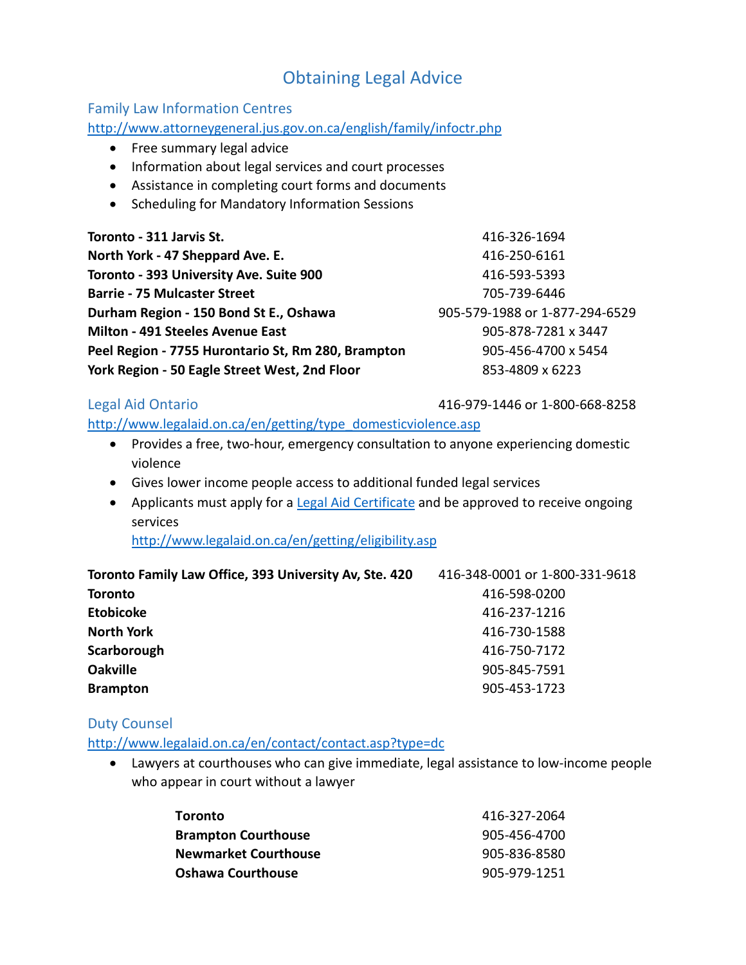## Obtaining Legal Advice

#### Family Law Information Centres

<http://www.attorneygeneral.jus.gov.on.ca/english/family/infoctr.php>

- Free summary legal advice
- Information about legal services and court processes
- Assistance in completing court forms and documents
- Scheduling for Mandatory Information Sessions

| Toronto - 311 Jarvis St.                           | 416-326-1694                   |
|----------------------------------------------------|--------------------------------|
| North York - 47 Sheppard Ave. E.                   | 416-250-6161                   |
| Toronto - 393 University Ave. Suite 900            | 416-593-5393                   |
| <b>Barrie - 75 Mulcaster Street</b>                | 705-739-6446                   |
| Durham Region - 150 Bond St E., Oshawa             | 905-579-1988 or 1-877-294-6529 |
| <b>Milton - 491 Steeles Avenue East</b>            | 905-878-7281 x 3447            |
| Peel Region - 7755 Hurontario St, Rm 280, Brampton | 905-456-4700 x 5454            |
| York Region - 50 Eagle Street West, 2nd Floor      | 853-4809 x 6223                |

Legal Aid Ontario 416-979-1446 or 1-800-668-8258

[http://www.legalaid.on.ca/en/getting/type\\_domesticviolence.asp](http://www.legalaid.on.ca/en/getting/type_domesticviolence.asp)

- Provides a free, two-hour, emergency consultation to anyone experiencing domestic violence
- Gives lower income people access to additional funded legal services

**Brampton** 905-453-1723

• Applicants must apply for a [Legal Aid Certificate](http://www.legalaid.on.ca/en/getting/eligibility.asp) and be approved to receive ongoing services

<http://www.legalaid.on.ca/en/getting/eligibility.asp>

**Toronto Family Law Office, 393 University Av, Ste. 420** 416-348-0001 or 1-800-331-9618 **Toronto** 416-598-0200 **Etobicoke** 416-237-1216 **North York** 416-730-1588 **Scarborough** 416-750-7172 **Oakville** 905-845-7591

#### Duty Counsel

<http://www.legalaid.on.ca/en/contact/contact.asp?type=dc>

• Lawyers at courthouses who can give immediate, legal assistance to low-income people who appear in court without a lawyer

| Toronto                     | 416-327-2064 |
|-----------------------------|--------------|
| <b>Brampton Courthouse</b>  | 905-456-4700 |
| <b>Newmarket Courthouse</b> | 905-836-8580 |
| <b>Oshawa Courthouse</b>    | 905-979-1251 |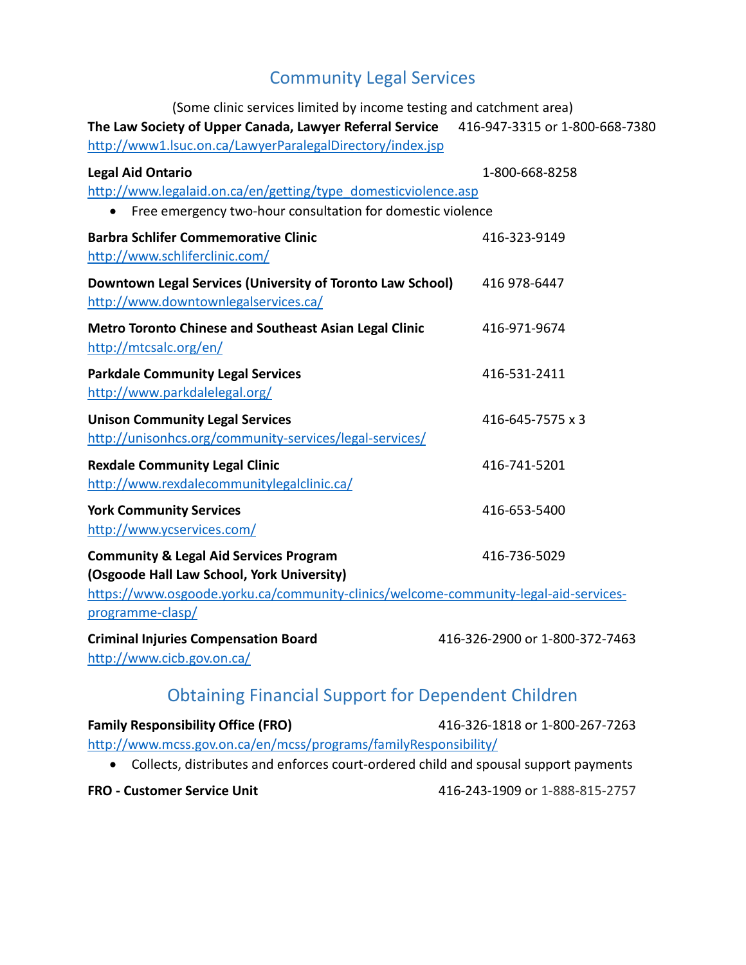## Community Legal Services

(Some clinic services limited by income testing and catchment area) **The Law Society of Upper Canada, Lawyer Referral Service** 416-947-3315 or 1-800-668-7380 <http://www1.lsuc.on.ca/LawyerParalegalDirectory/index.jsp> **Legal Aid Ontario** 1-800-668-8258 [http://www.legalaid.on.ca/en/getting/type\\_domesticviolence.asp](http://www.legalaid.on.ca/en/getting/type_domesticviolence.asp) • Free emergency two-hour consultation for domestic violence **Barbra Schlifer Commemorative Clinic** 416-323-9149 <http://www.schliferclinic.com/> **Downtown Legal Services (University of Toronto Law School)** 416 978-6447 <http://www.downtownlegalservices.ca/> **Metro Toronto Chinese and Southeast Asian Legal Clinic** 416-971-9674 <http://mtcsalc.org/en/> **Parkdale Community Legal Services 1996 12411 416-531-2411** <http://www.parkdalelegal.org/> **Unison Community Legal Services 116-645-7575 x 3** <http://unisonhcs.org/community-services/legal-services/> **Rexdale Community Legal Clinic** 416-741-5201 <http://www.rexdalecommunitylegalclinic.ca/> **York Community Services** 416-653-5400 <http://www.ycservices.com/> **Community & Legal Aid Services Program** 416-736-5029 **(Osgoode Hall Law School, York University)** [https://www.osgoode.yorku.ca/community-clinics/welcome-community-legal-aid-services](https://www.osgoode.yorku.ca/community-clinics/welcome-community-legal-aid-services-programme-clasp/)[programme-clasp/](https://www.osgoode.yorku.ca/community-clinics/welcome-community-legal-aid-services-programme-clasp/) **Criminal Injuries Compensation Board** 416-326-2900 or 1-800-372-7463 <http://www.cicb.gov.on.ca/>

## Obtaining Financial Support for Dependent Children

| <b>Family Responsibility Office (FRO)</b>                                             | 416-326-1818 or 1-800-267-7263 |
|---------------------------------------------------------------------------------------|--------------------------------|
| http://www.mcss.gov.on.ca/en/mcss/programs/familyResponsibility/                      |                                |
| • Collects, distributes and enforces court-ordered child and spousal support payments |                                |

**FRO - Customer Service Unit** 416-243-1909 or 1-888-815-2757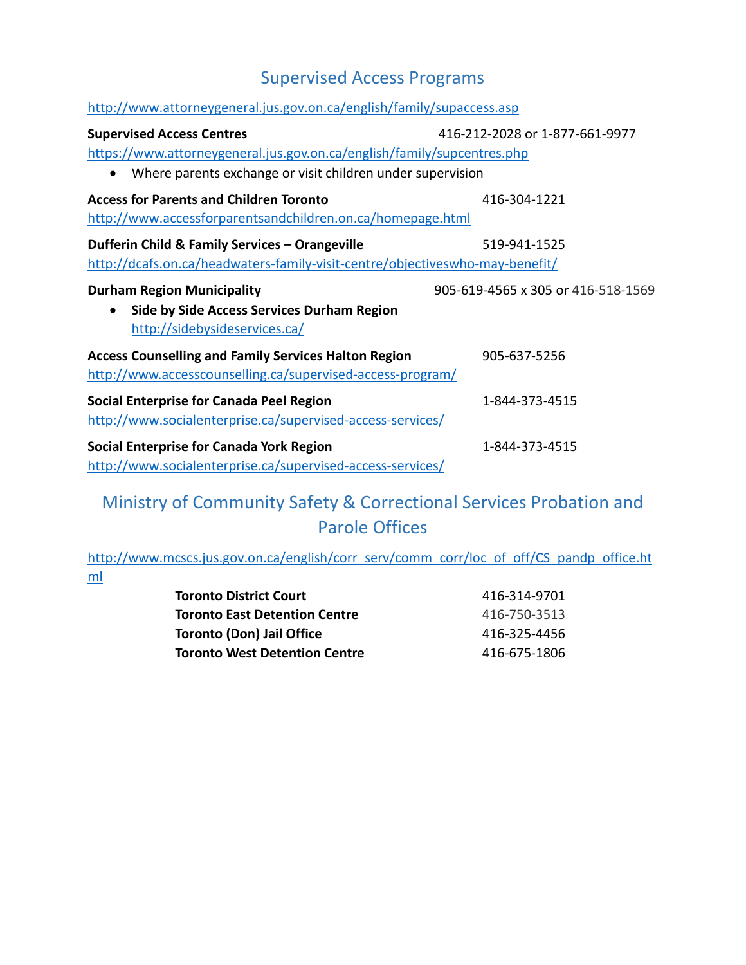## Supervised Access Programs

| http://www.attorneygeneral.jus.gov.on.ca/english/family/supaccess.asp                                                                              |                                    |  |
|----------------------------------------------------------------------------------------------------------------------------------------------------|------------------------------------|--|
| <b>Supervised Access Centres</b>                                                                                                                   | 416-212-2028 or 1-877-661-9977     |  |
| https://www.attorneygeneral.jus.gov.on.ca/english/family/supcentres.php<br>Where parents exchange or visit children under supervision<br>$\bullet$ |                                    |  |
| <b>Access for Parents and Children Toronto</b><br>http://www.accessforparentsandchildren.on.ca/homepage.html                                       | 416-304-1221                       |  |
| Dufferin Child & Family Services - Orangeville<br>http://dcafs.on.ca/headwaters-family-visit-centre/objectiveswho-may-benefit/                     | 519-941-1525                       |  |
| <b>Durham Region Municipality</b><br>Side by Side Access Services Durham Region<br>$\bullet$<br>http://sidebysideservices.ca/                      | 905-619-4565 x 305 or 416-518-1569 |  |
| <b>Access Counselling and Family Services Halton Region</b><br>http://www.accesscounselling.ca/supervised-access-program/                          | 905-637-5256                       |  |
| Social Enterprise for Canada Peel Region<br>http://www.socialenterprise.ca/supervised-access-services/                                             | 1-844-373-4515                     |  |
| <b>Social Enterprise for Canada York Region</b><br>http://www.socialenterprise.ca/supervised-access-services/                                      | 1-844-373-4515                     |  |

## Ministry of Community Safety & Correctional Services Probation and Parole Offices

[http://www.mcscs.jus.gov.on.ca/english/corr\\_serv/comm\\_corr/loc\\_of\\_off/CS\\_pandp\\_office.ht](http://www.mcscs.jus.gov.on.ca/english/corr_serv/comm_corr/loc_of_off/CS_pandp_office.html) [ml](http://www.mcscs.jus.gov.on.ca/english/corr_serv/comm_corr/loc_of_off/CS_pandp_office.html)

| <b>Toronto District Court</b>        | 416-314-9701 |
|--------------------------------------|--------------|
| <b>Toronto East Detention Centre</b> | 416-750-3513 |
| <b>Toronto (Don) Jail Office</b>     | 416-325-4456 |
| <b>Toronto West Detention Centre</b> | 416-675-1806 |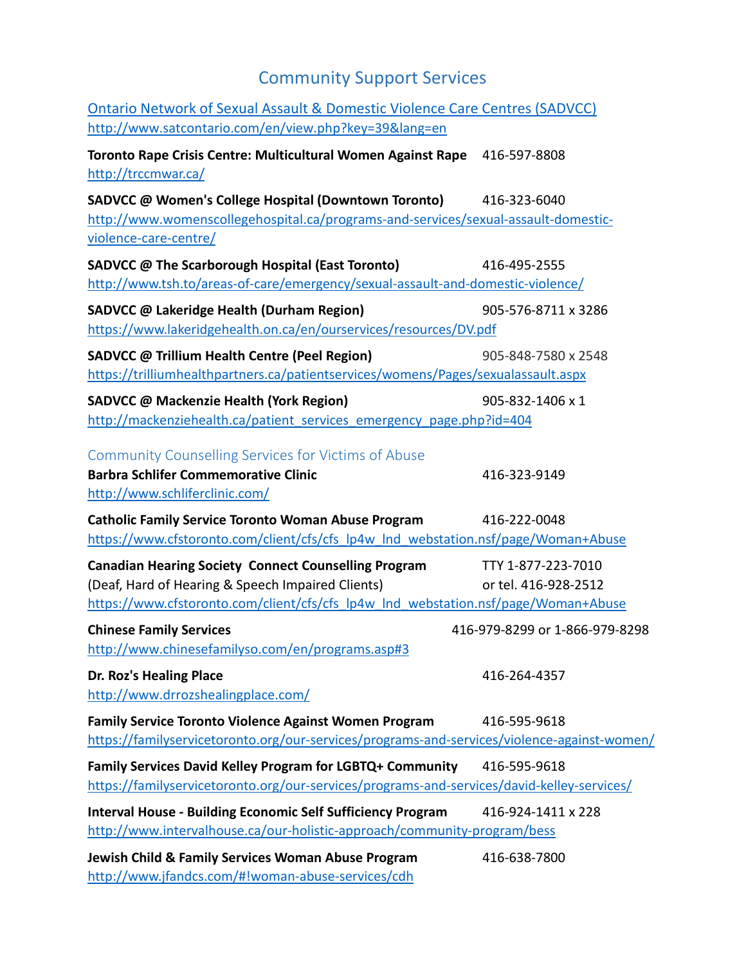## Community Support Services

| Ontario Network of Sexual Assault & Domestic Violence Care Centres (SADVCC)                 |                                |
|---------------------------------------------------------------------------------------------|--------------------------------|
| http://www.satcontario.com/en/view.php?key=39⟨=en                                           |                                |
| Toronto Rape Crisis Centre: Multicultural Women Against Rape                                | 416-597-8808                   |
| http://trccmwar.ca/                                                                         |                                |
| SADVCC @ Women's College Hospital (Downtown Toronto)                                        | 416-323-6040                   |
| http://www.womenscollegehospital.ca/programs-and-services/sexual-assault-domestic-          |                                |
| violence-care-centre/                                                                       |                                |
| SADVCC @ The Scarborough Hospital (East Toronto)                                            | 416-495-2555                   |
| http://www.tsh.to/areas-of-care/emergency/sexual-assault-and-domestic-violence/             |                                |
| SADVCC @ Lakeridge Health (Durham Region)                                                   | 905-576-8711 x 3286            |
| https://www.lakeridgehealth.on.ca/en/ourservices/resources/DV.pdf                           |                                |
| SADVCC @ Trillium Health Centre (Peel Region)                                               | 905-848-7580 x 2548            |
| https://trilliumhealthpartners.ca/patientservices/womens/Pages/sexualassault.aspx           |                                |
| SADVCC @ Mackenzie Health (York Region)                                                     | 905-832-1406 x 1               |
| http://mackenziehealth.ca/patient services emergency page.php?id=404                        |                                |
| <b>Community Counselling Services for Victims of Abuse</b>                                  |                                |
| <b>Barbra Schlifer Commemorative Clinic</b>                                                 | 416-323-9149                   |
| http://www.schliferclinic.com/                                                              |                                |
| <b>Catholic Family Service Toronto Woman Abuse Program</b>                                  | 416-222-0048                   |
| https://www.cfstoronto.com/client/cfs/cfs lp4w Ind webstation.nsf/page/Woman+Abuse          |                                |
| <b>Canadian Hearing Society Connect Counselling Program</b>                                 | TTY 1-877-223-7010             |
| (Deaf, Hard of Hearing & Speech Impaired Clients)                                           | or tel. 416-928-2512           |
| https://www.cfstoronto.com/client/cfs/cfs lp4w Ind webstation.nsf/page/Woman+Abuse          |                                |
| <b>Chinese Family Services</b>                                                              | 416-979-8299 or 1-866-979-8298 |
| http://www.chinesefamilyso.com/en/programs.asp#3                                            |                                |
| Dr. Roz's Healing Place                                                                     | 416-264-4357                   |
| http://www.drrozshealingplace.com/                                                          |                                |
| Family Service Toronto Violence Against Women Program                                       | 416-595-9618                   |
| https://familyservicetoronto.org/our-services/programs-and-services/violence-against-women/ |                                |
| Family Services David Kelley Program for LGBTQ+ Community                                   | 416-595-9618                   |
| https://familyservicetoronto.org/our-services/programs-and-services/david-kelley-services/  |                                |
| <b>Interval House - Building Economic Self Sufficiency Program</b>                          | 416-924-1411 x 228             |
| http://www.intervalhouse.ca/our-holistic-approach/community-program/bess                    |                                |
| Jewish Child & Family Services Woman Abuse Program                                          | 416-638-7800                   |
| http://www.jfandcs.com/#!woman-abuse-services/cdh                                           |                                |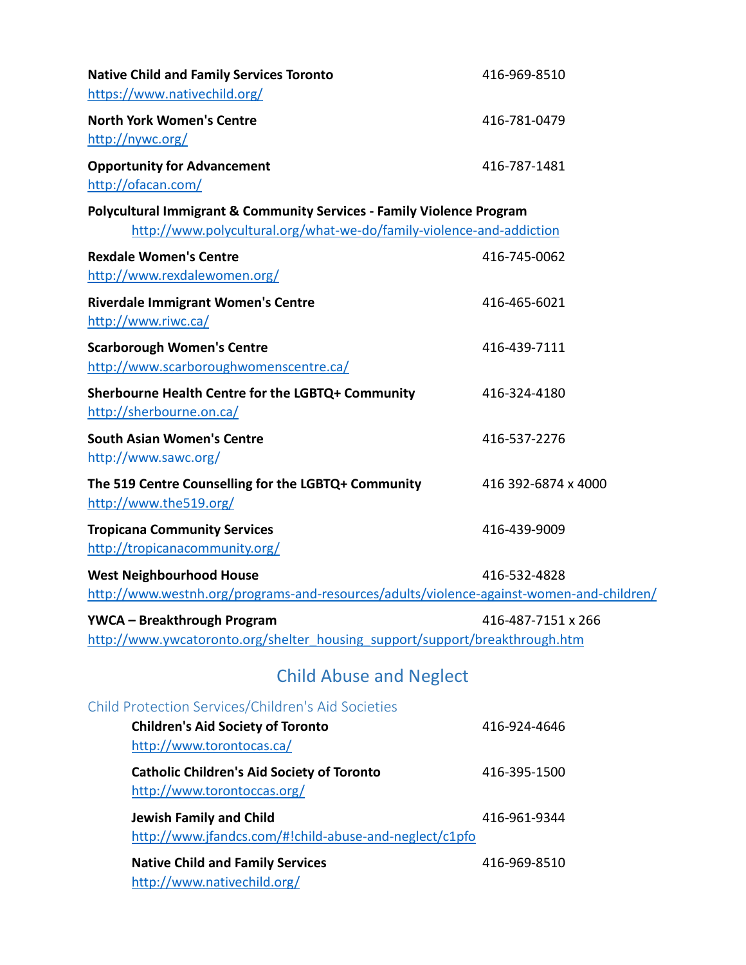| <b>Native Child and Family Services Toronto</b><br>https://www.nativechild.org/                                                               | 416-969-8510        |
|-----------------------------------------------------------------------------------------------------------------------------------------------|---------------------|
| <b>North York Women's Centre</b><br>http://nywc.org/                                                                                          | 416-781-0479        |
| <b>Opportunity for Advancement</b><br>http://ofacan.com/                                                                                      | 416-787-1481        |
| Polycultural Immigrant & Community Services - Family Violence Program<br>http://www.polycultural.org/what-we-do/family-violence-and-addiction |                     |
| <b>Rexdale Women's Centre</b><br>http://www.rexdalewomen.org/                                                                                 | 416-745-0062        |
| <b>Riverdale Immigrant Women's Centre</b><br>http://www.riwc.ca/                                                                              | 416-465-6021        |
| <b>Scarborough Women's Centre</b><br>http://www.scarboroughwomenscentre.ca/                                                                   | 416-439-7111        |
| Sherbourne Health Centre for the LGBTQ+ Community<br>http://sherbourne.on.ca/                                                                 | 416-324-4180        |
| <b>South Asian Women's Centre</b><br>http://www.sawc.org/                                                                                     | 416-537-2276        |
| The 519 Centre Counselling for the LGBTQ+ Community<br>http://www.the519.org/                                                                 | 416 392-6874 x 4000 |
| <b>Tropicana Community Services</b><br>http://tropicanacommunity.org/                                                                         | 416-439-9009        |
| <b>West Neighbourhood House</b><br>http://www.westnh.org/programs-and-resources/adults/violence-against-women-and-children/                   | 416-532-4828        |
| <b>YWCA - Breakthrough Program</b><br>http://www.ywcatoronto.org/shelter housing support/support/breakthrough.htm                             | 416-487-7151 x 266  |
| <b>Child Abuse and Neglect</b>                                                                                                                |                     |
| Child Protection Services/Children's Aid Societies<br><b>Children's Aid Society of Toronto</b><br>http://www.torontocas.ca/                   | 416-924-4646        |
| <b>Catholic Children's Aid Society of Toronto</b><br>http://www.torontoccas.org/                                                              | 416-395-1500        |
| <b>Jewish Family and Child</b><br>http://www.jfandcs.com/#!child-abuse-and-neglect/c1pfo                                                      | 416-961-9344        |
| <b>Native Child and Family Services</b><br>http://www.nativechild.org/                                                                        | 416-969-8510        |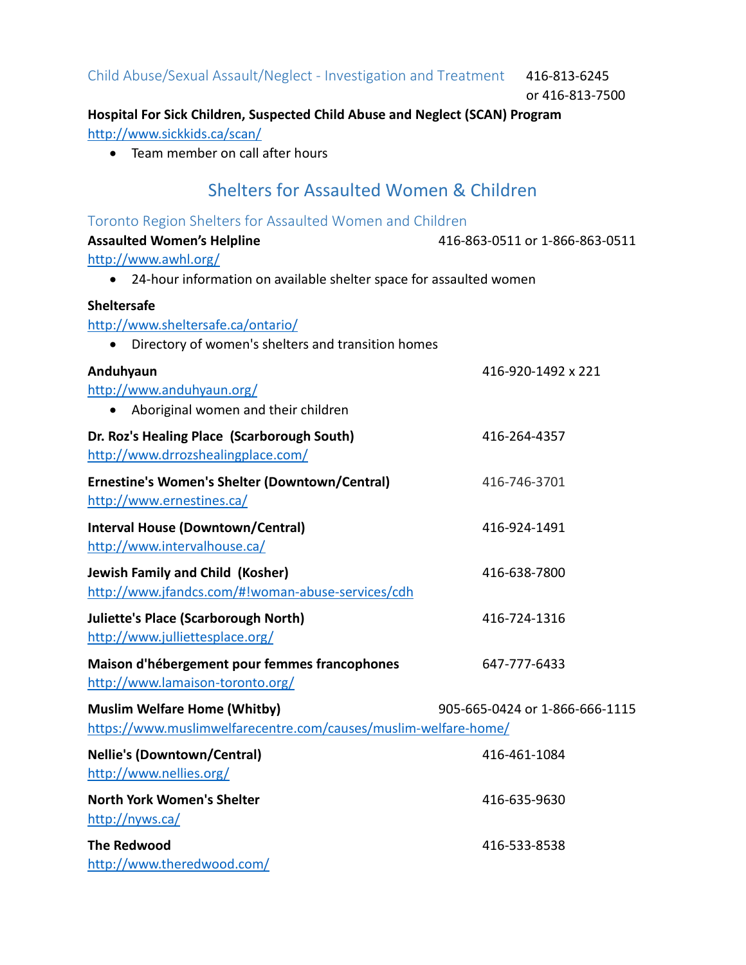Child Abuse/Sexual Assault/Neglect - Investigation and Treatment 416-813-6245

or 416-813-7500

### **Hospital For Sick Children, Suspected Child Abuse and Neglect (SCAN) Program** <http://www.sickkids.ca/scan/>

• Team member on call after hours

## Shelters for Assaulted Women & Children

| Toronto Region Shelters for Assaulted Women and Children             |                                |
|----------------------------------------------------------------------|--------------------------------|
| <b>Assaulted Women's Helpline</b>                                    | 416-863-0511 or 1-866-863-0511 |
| http://www.awhl.org/                                                 |                                |
| • 24-hour information on available shelter space for assaulted women |                                |
| <b>Sheltersafe</b>                                                   |                                |
| http://www.sheltersafe.ca/ontario/                                   |                                |
| Directory of women's shelters and transition homes<br>$\bullet$      |                                |
| Anduhyaun                                                            | 416-920-1492 x 221             |
| http://www.anduhyaun.org/                                            |                                |
| • Aboriginal women and their children                                |                                |
| Dr. Roz's Healing Place (Scarborough South)                          | 416-264-4357                   |
| http://www.drrozshealingplace.com/                                   |                                |
| Ernestine's Women's Shelter (Downtown/Central)                       | 416-746-3701                   |
| http://www.ernestines.ca/                                            |                                |
| <b>Interval House (Downtown/Central)</b>                             | 416-924-1491                   |
| http://www.intervalhouse.ca/                                         |                                |
| <b>Jewish Family and Child (Kosher)</b>                              | 416-638-7800                   |
| http://www.jfandcs.com/#!woman-abuse-services/cdh                    |                                |
| <b>Juliette's Place (Scarborough North)</b>                          | 416-724-1316                   |
| http://www.julliettesplace.org/                                      |                                |
| Maison d'hébergement pour femmes francophones                        | 647-777-6433                   |
| http://www.lamaison-toronto.org/                                     |                                |
| <b>Muslim Welfare Home (Whitby)</b>                                  | 905-665-0424 or 1-866-666-1115 |
| https://www.muslimwelfarecentre.com/causes/muslim-welfare-home/      |                                |
| <b>Nellie's (Downtown/Central)</b>                                   | 416-461-1084                   |
| http://www.nellies.org/                                              |                                |
| <b>North York Women's Shelter</b>                                    | 416-635-9630                   |
| http://nyws.ca/                                                      |                                |
| <b>The Redwood</b>                                                   | 416-533-8538                   |
| http://www.theredwood.com/                                           |                                |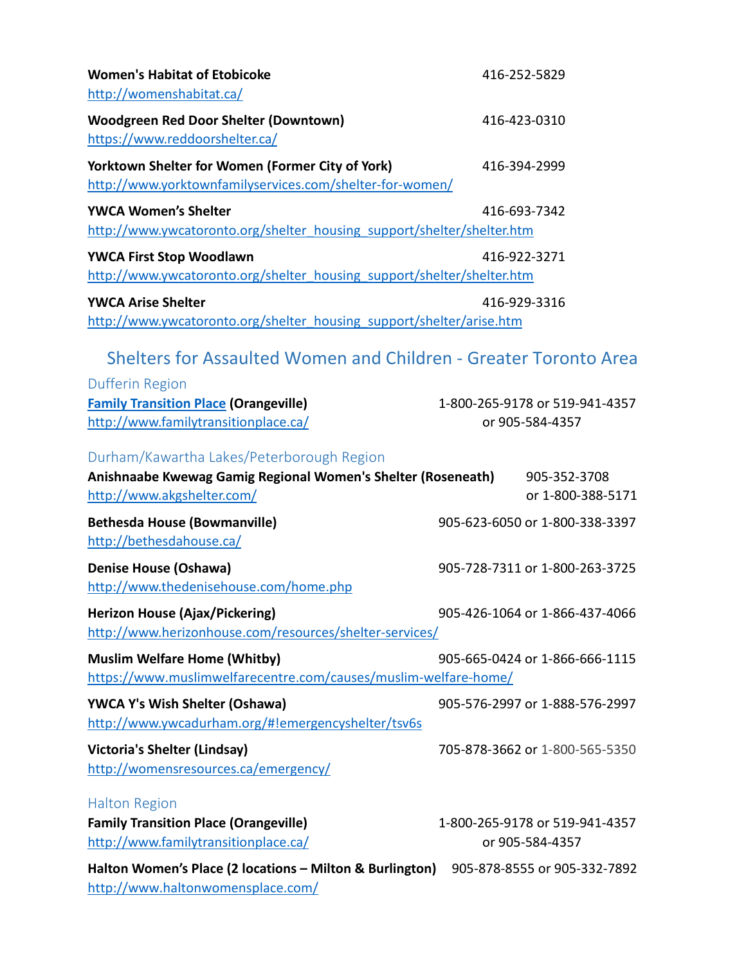| <b>Women's Habitat of Etobicoke</b><br>http://womenshabitat.ca/                                                                         | 416-252-5829 |                                                   |
|-----------------------------------------------------------------------------------------------------------------------------------------|--------------|---------------------------------------------------|
| <b>Woodgreen Red Door Shelter (Downtown)</b><br>https://www.reddoorshelter.ca/                                                          | 416-423-0310 |                                                   |
| Yorktown Shelter for Women (Former City of York)<br>http://www.yorktownfamilyservices.com/shelter-for-women/                            | 416-394-2999 |                                                   |
| <b>YWCA Women's Shelter</b><br>http://www.ywcatoronto.org/shelter housing support/shelter/shelter.htm                                   | 416-693-7342 |                                                   |
| <b>YWCA First Stop Woodlawn</b><br>http://www.ywcatoronto.org/shelter housing support/shelter/shelter.htm                               | 416-922-3271 |                                                   |
| <b>YWCA Arise Shelter</b><br>http://www.ywcatoronto.org/shelter housing support/shelter/arise.htm                                       | 416-929-3316 |                                                   |
| Shelters for Assaulted Women and Children - Greater Toronto Area<br><b>Dufferin Region</b>                                              |              |                                                   |
| <b>Family Transition Place (Orangeville)</b><br>http://www.familytransitionplace.ca/                                                    |              | 1-800-265-9178 or 519-941-4357<br>or 905-584-4357 |
| Durham/Kawartha Lakes/Peterborough Region<br>Anishnaabe Kwewag Gamig Regional Women's Shelter (Roseneath)<br>http://www.akgshelter.com/ |              | 905-352-3708<br>or 1-800-388-5171                 |
| <b>Bethesda House (Bowmanville)</b><br>http://bethesdahouse.ca/                                                                         |              | 905-623-6050 or 1-800-338-3397                    |
| <b>Denise House (Oshawa)</b><br>http://www.thedenisehouse.com/home.php                                                                  |              | 905-728-7311 or 1-800-263-3725                    |
| <b>Herizon House (Ajax/Pickering)</b><br>http://www.herizonhouse.com/resources/shelter-services/                                        |              | 905-426-1064 or 1-866-437-4066                    |
| <b>Muslim Welfare Home (Whitby)</b><br>https://www.muslimwelfarecentre.com/causes/muslim-welfare-home/                                  |              | 905-665-0424 or 1-866-666-1115                    |
| <b>YWCA Y's Wish Shelter (Oshawa)</b><br>http://www.ywcadurham.org/#!emergencyshelter/tsv6s                                             |              | 905-576-2997 or 1-888-576-2997                    |
| Victoria's Shelter (Lindsay)<br>http://womensresources.ca/emergency/                                                                    |              | 705-878-3662 or 1-800-565-5350                    |
| <b>Halton Region</b><br><b>Family Transition Place (Orangeville)</b><br>http://www.familytransitionplace.ca/                            |              | 1-800-265-9178 or 519-941-4357<br>or 905-584-4357 |
| Halton Women's Place (2 locations – Milton & Burlington)<br>http://www.haltonwomensplace.com/                                           |              | 905-878-8555 or 905-332-7892                      |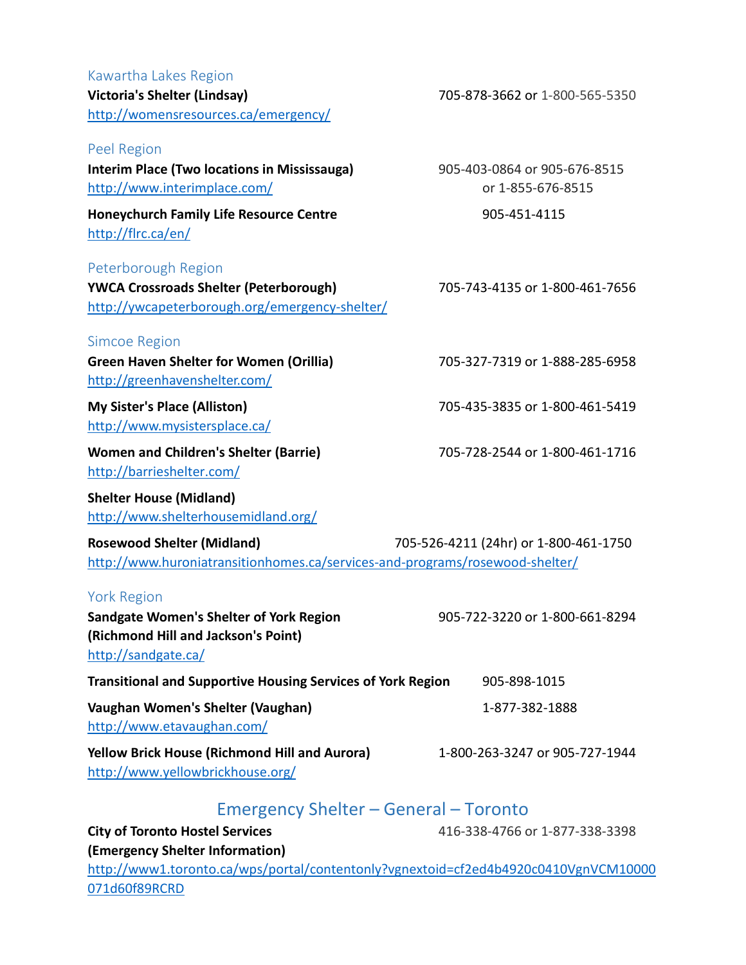#### Kawartha Lakes Region **Victoria's Shelter (Lindsay)** 705-878-3662 or 1-800-565-5350 <http://womensresources.ca/emergency/>

Peel Region

**Interim Place (Two locations in Mississauga)** 905-403-0864 or 905-676-8515 <http://www.interimplace.com/> or 1-855-676-8515

**Honeychurch Family Life Resource Centre** 905-451-4115 <http://flrc.ca/en/>

#### Peterborough Region

**YWCA Crossroads Shelter (Peterborough)** 705-743-4135 or 1-800-461-7656 <http://ywcapeterborough.org/emergency-shelter/>

#### Simcoe Region

**Green Haven Shelter for Women (Orillia)** 705-327-7319 or 1-888-285-6958 <http://greenhavenshelter.com/>

<http://www.mysistersplace.ca/>

**Women and Children's Shelter (Barrie)** 705-728-2544 or 1-800-461-1716 <http://barrieshelter.com/>

**Shelter House (Midland)** <http://www.shelterhousemidland.org/>

**Rosewood Shelter (Midland)** 705-526-4211 (24hr) or 1-800-461-1750 <http://www.huroniatransitionhomes.ca/services-and-programs/rosewood-shelter/>

#### York Region

**Sandgate Women's Shelter of York Region** 905-722-3220 or 1-800-661-8294 **(Richmond Hill and Jackson's Point)** <http://sandgate.ca/>

**Transitional and Supportive Housing Services of York Region** 905-898-1015 **Vaughan Women's Shelter (Vaughan)** 1-877-382-1888 <http://www.etavaughan.com/> **Yellow Brick House (Richmond Hill and Aurora)** 1-800-263-3247 or 905-727-1944

<http://www.yellowbrickhouse.org/>

## Emergency Shelter – General – Toronto

**City of Toronto Hostel Services** 416-338-4766 or 1-877-338-3398 **(Emergency Shelter Information)** [http://www1.toronto.ca/wps/portal/contentonly?vgnextoid=cf2ed4b4920c0410VgnVCM10000](http://www1.toronto.ca/wps/portal/contentonly?vgnextoid=cf2ed4b4920c0410VgnVCM10000071d60f89RCRD) [071d60f89RCRD](http://www1.toronto.ca/wps/portal/contentonly?vgnextoid=cf2ed4b4920c0410VgnVCM10000071d60f89RCRD)

**My Sister's Place (Alliston)** 705-435-3835 or 1-800-461-5419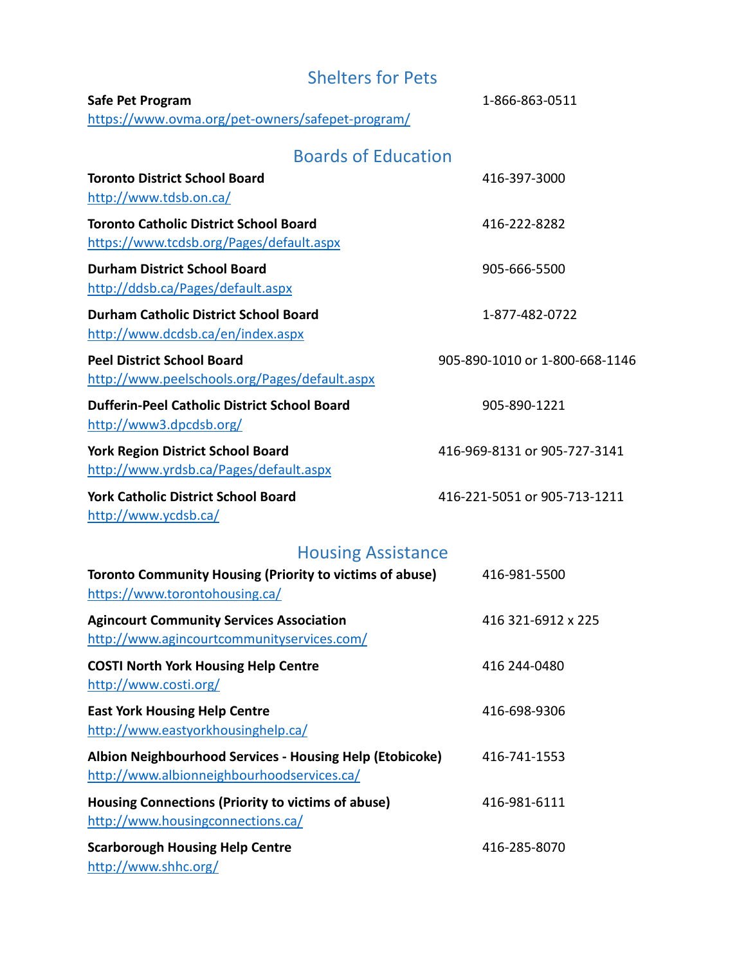| <b>Shelters for Pets</b>                                                                      |                                |  |
|-----------------------------------------------------------------------------------------------|--------------------------------|--|
| Safe Pet Program<br>https://www.ovma.org/pet-owners/safepet-program/                          | 1-866-863-0511                 |  |
| <b>Boards of Education</b>                                                                    |                                |  |
| <b>Toronto District School Board</b><br>http://www.tdsb.on.ca/                                | 416-397-3000                   |  |
| <b>Toronto Catholic District School Board</b><br>https://www.tcdsb.org/Pages/default.aspx     | 416-222-8282                   |  |
| <b>Durham District School Board</b><br>http://ddsb.ca/Pages/default.aspx                      | 905-666-5500                   |  |
| <b>Durham Catholic District School Board</b><br>http://www.dcdsb.ca/en/index.aspx             | 1-877-482-0722                 |  |
| <b>Peel District School Board</b><br>http://www.peelschools.org/Pages/default.aspx            | 905-890-1010 or 1-800-668-1146 |  |
| <b>Dufferin-Peel Catholic District School Board</b><br>http://www3.dpcdsb.org/                | 905-890-1221                   |  |
| <b>York Region District School Board</b><br>http://www.yrdsb.ca/Pages/default.aspx            | 416-969-8131 or 905-727-3141   |  |
| <b>York Catholic District School Board</b><br>http://www.ycdsb.ca/                            | 416-221-5051 or 905-713-1211   |  |
| <b>Housing Assistance</b>                                                                     |                                |  |
| Toronto Community Housing (Priority to victims of abuse)<br>https://www.torontohousing.ca/    | 416-981-5500                   |  |
| <b>Agincourt Community Services Association</b><br>http://www.agincourtcommunityservices.com/ | 416 321-6912 x 225             |  |
| <b>COSTI North York Housing Help Centre</b><br>http://www.costi.org/                          | 416 244-0480                   |  |

**East York Housing Help Centre** 11 2008 1204 116-698-9306 <http://www.eastyorkhousinghelp.ca/>

**Albion Neighbourhood Services - Housing Help (Etobicoke)** 416-741-1553 <http://www.albionneighbourhoodservices.ca/> **Housing Connections (Priority to victims of abuse)** 416-981-6111 <http://www.housingconnections.ca/> **Scarborough Housing Help Centre** 416-285-8070

<http://www.shhc.org/>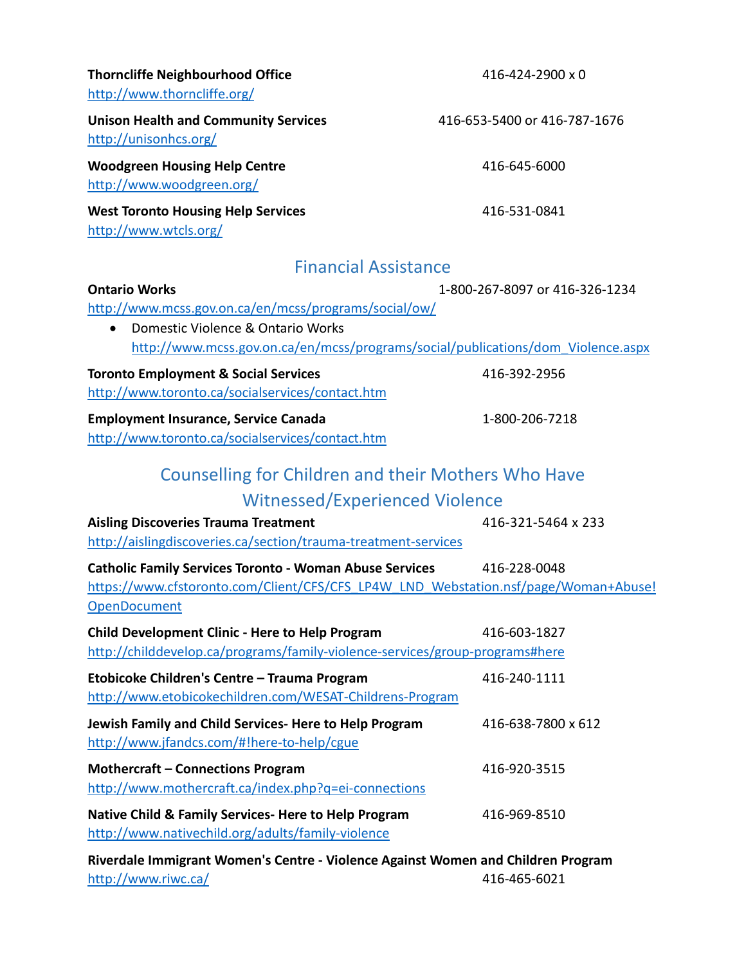| <b>Thorncliffe Neighbourhood Office</b><br>http://www.thorncliffe.org/                                                                                                                                                                         | 416-424-2900 x 0               |  |
|------------------------------------------------------------------------------------------------------------------------------------------------------------------------------------------------------------------------------------------------|--------------------------------|--|
| <b>Unison Health and Community Services</b><br>http://unisonhcs.org/                                                                                                                                                                           | 416-653-5400 or 416-787-1676   |  |
| <b>Woodgreen Housing Help Centre</b><br>http://www.woodgreen.org/                                                                                                                                                                              | 416-645-6000                   |  |
| <b>West Toronto Housing Help Services</b><br>http://www.wtcls.org/                                                                                                                                                                             | 416-531-0841                   |  |
| <b>Financial Assistance</b>                                                                                                                                                                                                                    |                                |  |
| <b>Ontario Works</b><br>http://www.mcss.gov.on.ca/en/mcss/programs/social/ow/<br>Domestic Violence & Ontario Works<br>$\bullet$<br>http://www.mcss.gov.on.ca/en/mcss/programs/social/publications/dom Violence.aspx                            | 1-800-267-8097 or 416-326-1234 |  |
| <b>Toronto Employment &amp; Social Services</b>                                                                                                                                                                                                | 416-392-2956                   |  |
| http://www.toronto.ca/socialservices/contact.htm                                                                                                                                                                                               |                                |  |
| <b>Employment Insurance, Service Canada</b><br>http://www.toronto.ca/socialservices/contact.htm                                                                                                                                                | 1-800-206-7218                 |  |
| <b>Counselling for Children and their Mothers Who Have</b><br><b>Witnessed/Experienced Violence</b><br><b>Aisling Discoveries Trauma Treatment</b>                                                                                             | 416-321-5464 x 233             |  |
| http://aislingdiscoveries.ca/section/trauma-treatment-services<br><b>Catholic Family Services Toronto - Woman Abuse Services</b><br>https://www.cfstoronto.com/Client/CFS/CFS LP4W LND Webstation.nsf/page/Woman+Abuse!<br><b>OpenDocument</b> | 416-228-0048                   |  |
| Child Development Clinic - Here to Help Program<br>http://childdevelop.ca/programs/family-violence-services/group-programs#here                                                                                                                | 416-603-1827                   |  |
| Etobicoke Children's Centre - Trauma Program<br>http://www.etobicokechildren.com/WESAT-Childrens-Program                                                                                                                                       | 416-240-1111                   |  |
| Jewish Family and Child Services- Here to Help Program<br>http://www.jfandcs.com/#!here-to-help/cgue                                                                                                                                           | 416-638-7800 x 612             |  |
| <b>Mothercraft - Connections Program</b><br>http://www.mothercraft.ca/index.php?q=ei-connections                                                                                                                                               | 416-920-3515                   |  |
| Native Child & Family Services- Here to Help Program<br>http://www.nativechild.org/adults/family-violence                                                                                                                                      | 416-969-8510                   |  |
| Riverdale Immigrant Women's Centre - Violence Against Women and Children Program<br>http://www.riwc.ca/                                                                                                                                        | 416-465-6021                   |  |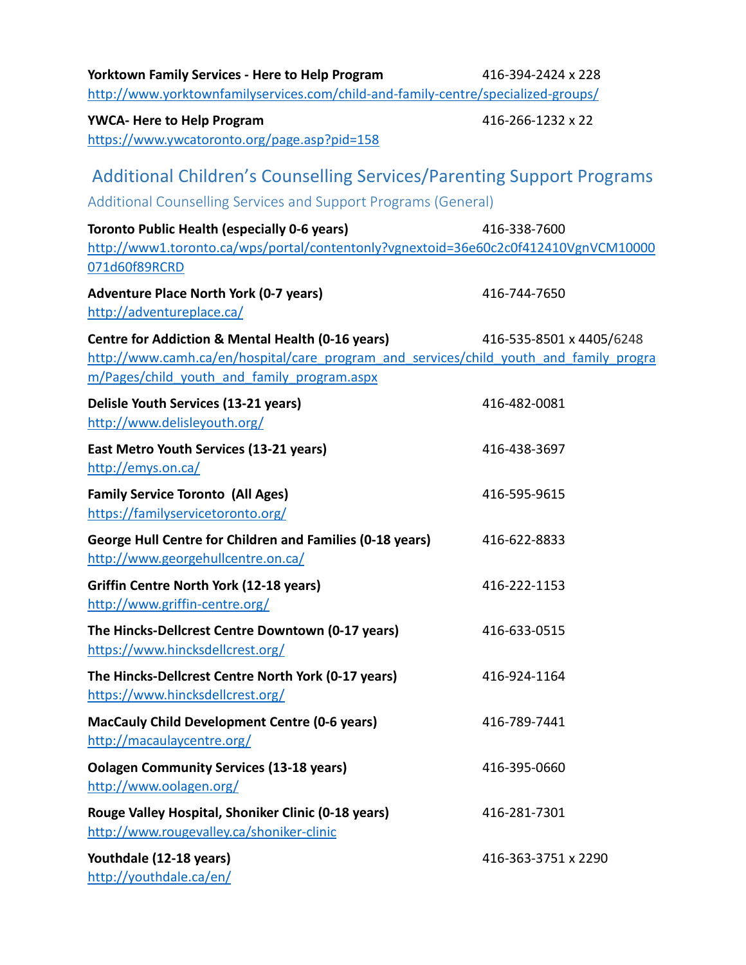| <b>Yorktown Family Services - Here to Help Program</b><br>http://www.yorktownfamilyservices.com/child-and-family-centre/specialized-groups/                                                | 416-394-2424 x 228       |  |
|--------------------------------------------------------------------------------------------------------------------------------------------------------------------------------------------|--------------------------|--|
| <b>YWCA- Here to Help Program</b><br>https://www.ywcatoronto.org/page.asp?pid=158                                                                                                          | 416-266-1232 x 22        |  |
| <b>Additional Children's Counselling Services/Parenting Support Programs</b><br>Additional Counselling Services and Support Programs (General)                                             |                          |  |
| <b>Toronto Public Health (especially 0-6 years)</b><br>http://www1.toronto.ca/wps/portal/contentonly?vgnextoid=36e60c2c0f412410VgnVCM10000<br>071d60f89RCRD                                | 416-338-7600             |  |
| <b>Adventure Place North York (0-7 years)</b><br>http://adventureplace.ca/                                                                                                                 | 416-744-7650             |  |
| Centre for Addiction & Mental Health (0-16 years)<br>http://www.camh.ca/en/hospital/care program and services/child youth and family progra<br>m/Pages/child youth and family program.aspx | 416-535-8501 x 4405/6248 |  |
| Delisle Youth Services (13-21 years)<br>http://www.delisleyouth.org/                                                                                                                       | 416-482-0081             |  |
| East Metro Youth Services (13-21 years)<br>http://emys.on.ca/                                                                                                                              | 416-438-3697             |  |
| <b>Family Service Toronto (All Ages)</b><br>https://familyservicetoronto.org/                                                                                                              | 416-595-9615             |  |
| <b>George Hull Centre for Children and Families (0-18 years)</b><br>http://www.georgehullcentre.on.ca/                                                                                     | 416-622-8833             |  |
| <b>Griffin Centre North York (12-18 years)</b><br>http://www.griffin-centre.org/                                                                                                           | 416-222-1153             |  |
| The Hincks-Dellcrest Centre Downtown (0-17 years)<br>https://www.hincksdellcrest.org/                                                                                                      | 416-633-0515             |  |
| The Hincks-Dellcrest Centre North York (0-17 years)<br>https://www.hincksdellcrest.org/                                                                                                    | 416-924-1164             |  |
| <b>MacCauly Child Development Centre (0-6 years)</b><br>http://macaulaycentre.org/                                                                                                         | 416-789-7441             |  |
| <b>Oolagen Community Services (13-18 years)</b><br>http://www.oolagen.org/                                                                                                                 | 416-395-0660             |  |
| Rouge Valley Hospital, Shoniker Clinic (0-18 years)<br>http://www.rougevalley.ca/shoniker-clinic                                                                                           | 416-281-7301             |  |
| Youthdale (12-18 years)<br>http://youthdale.ca/en/                                                                                                                                         | 416-363-3751 x 2290      |  |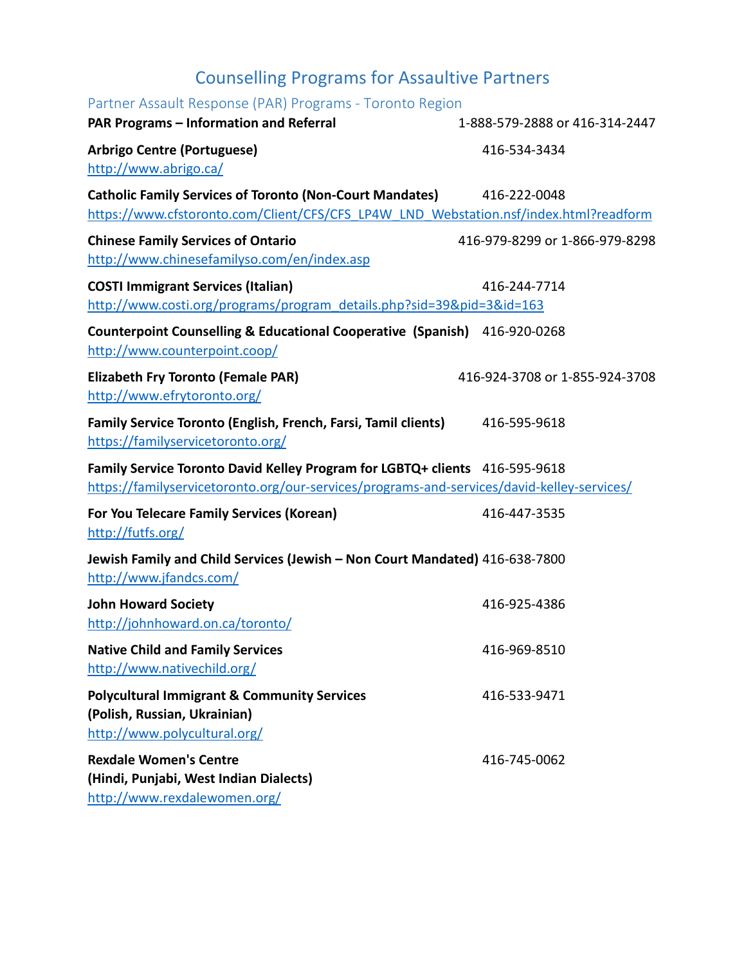## Counselling Programs for Assaultive Partners

| Partner Assault Response (PAR) Programs - Toronto Region                                               |                                |
|--------------------------------------------------------------------------------------------------------|--------------------------------|
| PAR Programs - Information and Referral                                                                | 1-888-579-2888 or 416-314-2447 |
| <b>Arbrigo Centre (Portuguese)</b>                                                                     | 416-534-3434                   |
| http://www.abrigo.ca/                                                                                  |                                |
| <b>Catholic Family Services of Toronto (Non-Court Mandates)</b>                                        | 416-222-0048                   |
| https://www.cfstoronto.com/Client/CFS/CFS LP4W LND Webstation.nsf/index.html?readform                  |                                |
| <b>Chinese Family Services of Ontario</b>                                                              | 416-979-8299 or 1-866-979-8298 |
| http://www.chinesefamilyso.com/en/index.asp                                                            |                                |
| <b>COSTI Immigrant Services (Italian)</b>                                                              | 416-244-7714                   |
| http://www.costi.org/programs/program_details.php?sid=39&pid=3&id=163                                  |                                |
| Counterpoint Counselling & Educational Cooperative (Spanish) 416-920-0268                              |                                |
| http://www.counterpoint.coop/                                                                          |                                |
| <b>Elizabeth Fry Toronto (Female PAR)</b><br>http://www.efrytoronto.org/                               | 416-924-3708 or 1-855-924-3708 |
|                                                                                                        |                                |
| Family Service Toronto (English, French, Farsi, Tamil clients)<br>https://familyservicetoronto.org/    | 416-595-9618                   |
| Family Service Toronto David Kelley Program for LGBTQ+ clients 416-595-9618                            |                                |
| https://familyservicetoronto.org/our-services/programs-and-services/david-kelley-services/             |                                |
| For You Telecare Family Services (Korean)<br>http://futfs.org/                                         | 416-447-3535                   |
| Jewish Family and Child Services (Jewish - Non Court Mandated) 416-638-7800<br>http://www.jfandcs.com/ |                                |
| <b>John Howard Society</b><br>http://johnhoward.on.ca/toronto/                                         | 416-925-4386                   |
| <b>Native Child and Family Services</b>                                                                | 416-969-8510                   |
| http://www.nativechild.org/                                                                            |                                |
| <b>Polycultural Immigrant &amp; Community Services</b>                                                 | 416-533-9471                   |
| (Polish, Russian, Ukrainian)<br>http://www.polycultural.org/                                           |                                |
| <b>Rexdale Women's Centre</b>                                                                          | 416-745-0062                   |
| (Hindi, Punjabi, West Indian Dialects)                                                                 |                                |
| http://www.rovdalousomon, oro/                                                                         |                                |

<http://www.rexdalewomen.org/>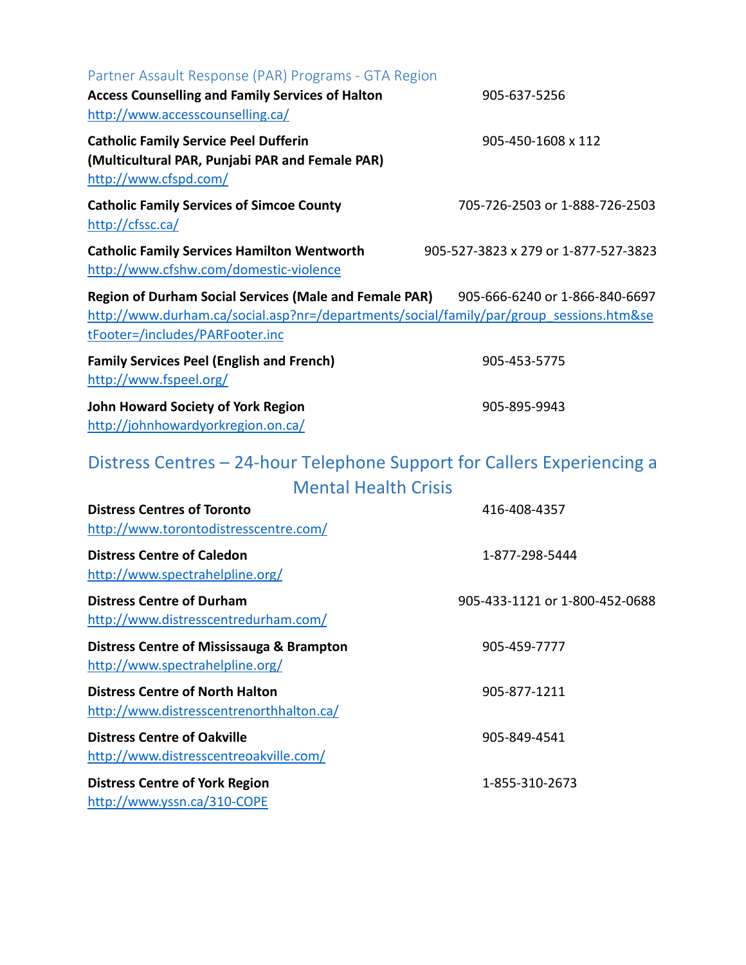| Partner Assault Response (PAR) Programs - GTA Region                                                                       |                                      |
|----------------------------------------------------------------------------------------------------------------------------|--------------------------------------|
| <b>Access Counselling and Family Services of Halton</b>                                                                    | 905-637-5256                         |
| http://www.accesscounselling.ca/                                                                                           |                                      |
| <b>Catholic Family Service Peel Dufferin</b>                                                                               | 905-450-1608 x 112                   |
| (Multicultural PAR, Punjabi PAR and Female PAR)                                                                            |                                      |
| http://www.cfspd.com/                                                                                                      |                                      |
| <b>Catholic Family Services of Simcoe County</b>                                                                           | 705-726-2503 or 1-888-726-2503       |
| http://cfssc.ca/                                                                                                           |                                      |
| <b>Catholic Family Services Hamilton Wentworth</b><br>http://www.cfshw.com/domestic-violence                               | 905-527-3823 x 279 or 1-877-527-3823 |
|                                                                                                                            |                                      |
| <b>Region of Durham Social Services (Male and Female PAR)</b>                                                              | 905-666-6240 or 1-866-840-6697       |
| http://www.durham.ca/social.asp?nr=/departments/social/family/par/group sessions.htm&se<br>tFooter=/includes/PARFooter.inc |                                      |
|                                                                                                                            |                                      |
| <b>Family Services Peel (English and French)</b><br>http://www.fspeel.org/                                                 | 905-453-5775                         |
|                                                                                                                            | 905-895-9943                         |
| <b>John Howard Society of York Region</b><br>http://johnhowardyorkregion.on.ca/                                            |                                      |
|                                                                                                                            |                                      |
| Distress Centres – 24-hour Telephone Support for Callers Experiencing a                                                    |                                      |
| <b>Mental Health Crisis</b>                                                                                                |                                      |
| <b>Distress Centres of Toronto</b>                                                                                         | 416-408-4357                         |
| http://www.torontodistresscentre.com/                                                                                      |                                      |
| <b>Distress Centre of Caledon</b>                                                                                          | 1-877-298-5444                       |
| http://www.spectrahelpline.org/                                                                                            |                                      |
| <b>Distress Centre of Durham</b>                                                                                           | 905-433-1121 or 1-800-452-0688       |
| http://www.distresscentredurham.com/                                                                                       |                                      |
| Distress Centre of Mississauga & Brampton                                                                                  | 905-459-7777                         |
| http://www.spectrahelpline.org/                                                                                            |                                      |
| <b>Distress Centre of North Halton</b>                                                                                     | 905-877-1211                         |
| http://www.distresscentrenorthhalton.ca/                                                                                   |                                      |
| <b>Distress Centre of Oakville</b>                                                                                         | 905-849-4541                         |
| http://www.distresscentreoakville.com/                                                                                     |                                      |
| <b>Distress Centre of York Region</b>                                                                                      | 1-855-310-2673                       |
| http://www.yssn.ca/310-COPE                                                                                                |                                      |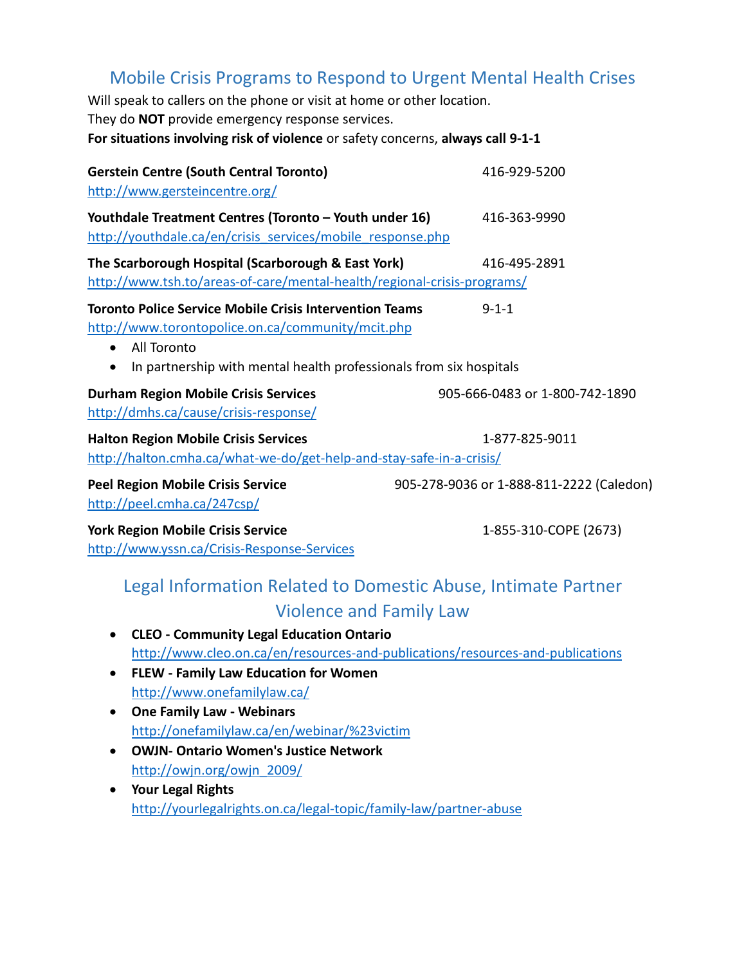## Mobile Crisis Programs to Respond to Urgent Mental Health Crises

Will speak to callers on the phone or visit at home or other location. They do **NOT** provide emergency response services. **For situations involving risk of violence** or safety concerns, **always call 9-1-1** 

| <b>Gerstein Centre (South Central Toronto)</b><br>http://www.gersteincentre.org/                                                                                                                                                   | 416-929-5200                             |
|------------------------------------------------------------------------------------------------------------------------------------------------------------------------------------------------------------------------------------|------------------------------------------|
| Youthdale Treatment Centres (Toronto - Youth under 16)<br>http://youthdale.ca/en/crisis services/mobile response.php                                                                                                               | 416-363-9990                             |
| The Scarborough Hospital (Scarborough & East York)<br>http://www.tsh.to/areas-of-care/mental-health/regional-crisis-programs/                                                                                                      | 416-495-2891                             |
| <b>Toronto Police Service Mobile Crisis Intervention Teams</b><br>http://www.torontopolice.on.ca/community/mcit.php<br>All Toronto<br>$\bullet$<br>In partnership with mental health professionals from six hospitals<br>$\bullet$ | $9 - 1 - 1$                              |
| <b>Durham Region Mobile Crisis Services</b><br>http://dmhs.ca/cause/crisis-response/                                                                                                                                               | 905-666-0483 or 1-800-742-1890           |
| <b>Halton Region Mobile Crisis Services</b><br>http://halton.cmha.ca/what-we-do/get-help-and-stay-safe-in-a-crisis/                                                                                                                | 1-877-825-9011                           |
| <b>Peel Region Mobile Crisis Service</b><br>http://peel.cmha.ca/247csp/                                                                                                                                                            | 905-278-9036 or 1-888-811-2222 (Caledon) |
| <b>York Region Mobile Crisis Service</b><br>http://www.yssn.ca/Crisis-Response-Services                                                                                                                                            | 1-855-310-COPE (2673)                    |

## Legal Information Related to Domestic Abuse, Intimate Partner Violence and Family Law

- **CLEO Community Legal Education Ontario** <http://www.cleo.on.ca/en/resources-and-publications/resources-and-publications>
- **FLEW Family Law Education for Women** <http://www.onefamilylaw.ca/>
- **One Family Law Webinars** <http://onefamilylaw.ca/en/webinar/%23victim>
- **OWJN- Ontario Women's Justice Network** [http://owjn.org/owjn\\_2009/](http://owjn.org/owjn_2009/)
- **Your Legal Rights** <http://yourlegalrights.on.ca/legal-topic/family-law/partner-abuse>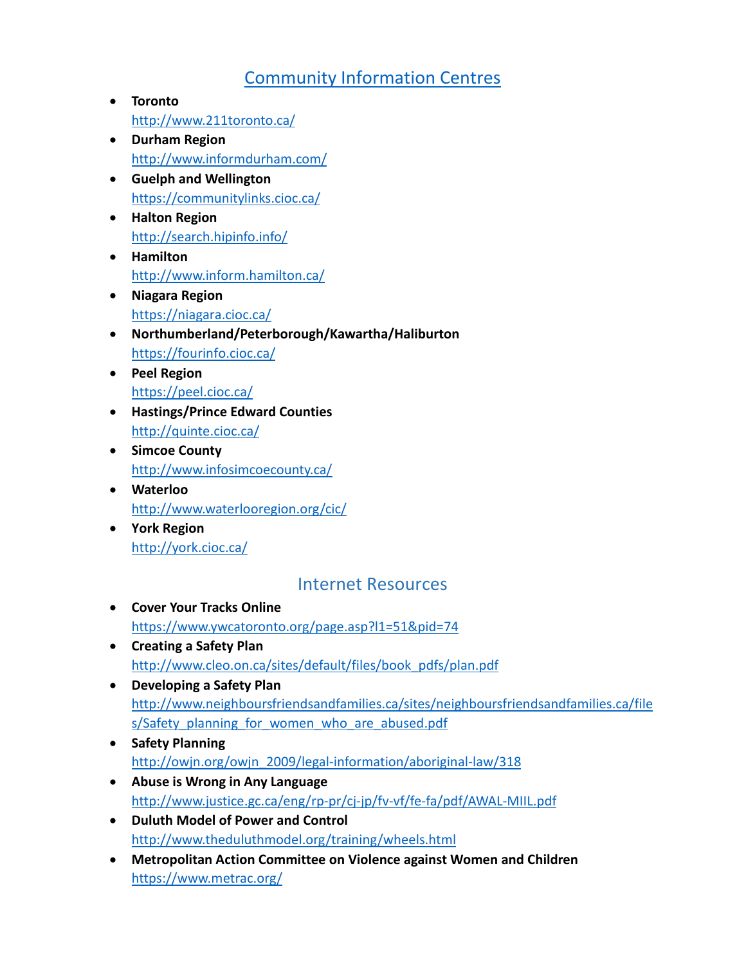## [Community Information Centres](http://www.211ontario.ca/)

- **Toronto** <http://www.211toronto.ca/>
- **Durham Region** <http://www.informdurham.com/>
- **Guelph and Wellington**  <https://communitylinks.cioc.ca/>
- **Halton Region** <http://search.hipinfo.info/>
- **Hamilton** <http://www.inform.hamilton.ca/>
- **Niagara Region** <https://niagara.cioc.ca/>
- **Northumberland/Peterborough/Kawartha/Haliburton** <https://fourinfo.cioc.ca/>
- **Peel Region** <https://peel.cioc.ca/>
- **Hastings/Prince Edward Counties** <http://quinte.cioc.ca/>
- **Simcoe County** <http://www.infosimcoecounty.ca/>
- **Waterloo** <http://www.waterlooregion.org/cic/>
- **York Region** <http://york.cioc.ca/>

## Internet Resources

- **Cover Your Tracks Online** <https://www.ywcatoronto.org/page.asp?l1=51&pid=74>
- **Creating a Safety Plan** [http://www.cleo.on.ca/sites/default/files/book\\_pdfs/plan.pdf](http://www.cleo.on.ca/sites/default/files/book_pdfs/plan.pdf)
- **Developing a Safety Plan** [http://www.neighboursfriendsandfamilies.ca/sites/neighboursfriendsandfamilies.ca/file](http://www.neighboursfriendsandfamilies.ca/sites/neighboursfriendsandfamilies.ca/files/Safety_planning_for_women_who_are_abused.pdf) [s/Safety\\_planning\\_for\\_women\\_who\\_are\\_abused.pdf](http://www.neighboursfriendsandfamilies.ca/sites/neighboursfriendsandfamilies.ca/files/Safety_planning_for_women_who_are_abused.pdf)
- **Safety Planning** [http://owjn.org/owjn\\_2009/legal-information/aboriginal-law/318](http://owjn.org/owjn_2009/legal-information/aboriginal-law/318)
- **Abuse is Wrong in Any Language** <http://www.justice.gc.ca/eng/rp-pr/cj-jp/fv-vf/fe-fa/pdf/AWAL-MIIL.pdf>
- **Duluth Model of Power and Control** <http://www.theduluthmodel.org/training/wheels.html>
- **Metropolitan Action Committee on Violence against Women and Children** <https://www.metrac.org/>